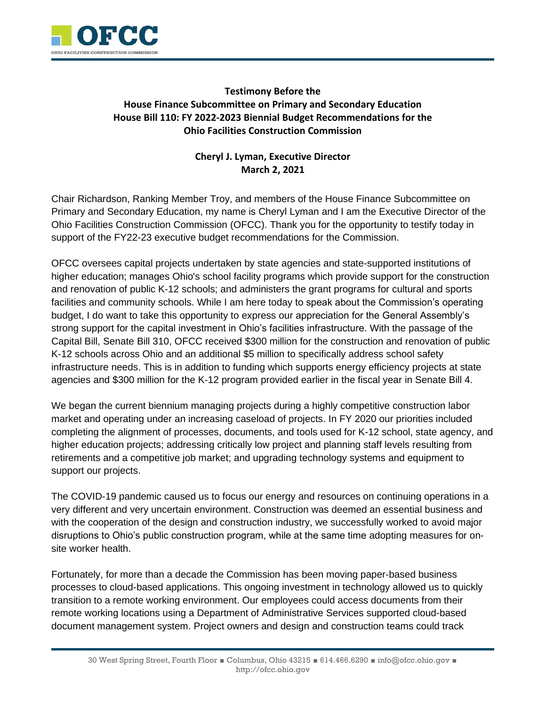

## **Testimony Before the House Finance Subcommittee on Primary and Secondary Education House Bill 110: FY 2022-2023 Biennial Budget Recommendations for the Ohio Facilities Construction Commission**

## **Cheryl J. Lyman, Executive Director March 2, 2021**

Chair Richardson, Ranking Member Troy, and members of the House Finance Subcommittee on Primary and Secondary Education, my name is Cheryl Lyman and I am the Executive Director of the Ohio Facilities Construction Commission (OFCC). Thank you for the opportunity to testify today in support of the FY22-23 executive budget recommendations for the Commission.

OFCC oversees capital projects undertaken by state agencies and state-supported institutions of higher education; manages Ohio's school facility programs which provide support for the construction and renovation of public K-12 schools; and administers the grant programs for cultural and sports facilities and community schools. While I am here today to speak about the Commission's operating budget, I do want to take this opportunity to express our appreciation for the General Assembly's strong support for the capital investment in Ohio's facilities infrastructure. With the passage of the Capital Bill, Senate Bill 310, OFCC received \$300 million for the construction and renovation of public K-12 schools across Ohio and an additional \$5 million to specifically address school safety infrastructure needs. This is in addition to funding which supports energy efficiency projects at state agencies and \$300 million for the K-12 program provided earlier in the fiscal year in Senate Bill 4.

We began the current biennium managing projects during a highly competitive construction labor market and operating under an increasing caseload of projects. In FY 2020 our priorities included completing the alignment of processes, documents, and tools used for K-12 school, state agency, and higher education projects; addressing critically low project and planning staff levels resulting from retirements and a competitive job market; and upgrading technology systems and equipment to support our projects.

The COVID-19 pandemic caused us to focus our energy and resources on continuing operations in a very different and very uncertain environment. Construction was deemed an essential business and with the cooperation of the design and construction industry, we successfully worked to avoid major disruptions to Ohio's public construction program, while at the same time adopting measures for onsite worker health.

Fortunately, for more than a decade the Commission has been moving paper-based business processes to cloud-based applications. This ongoing investment in technology allowed us to quickly transition to a remote working environment. Our employees could access documents from their remote working locations using a Department of Administrative Services supported cloud-based document management system. Project owners and design and construction teams could track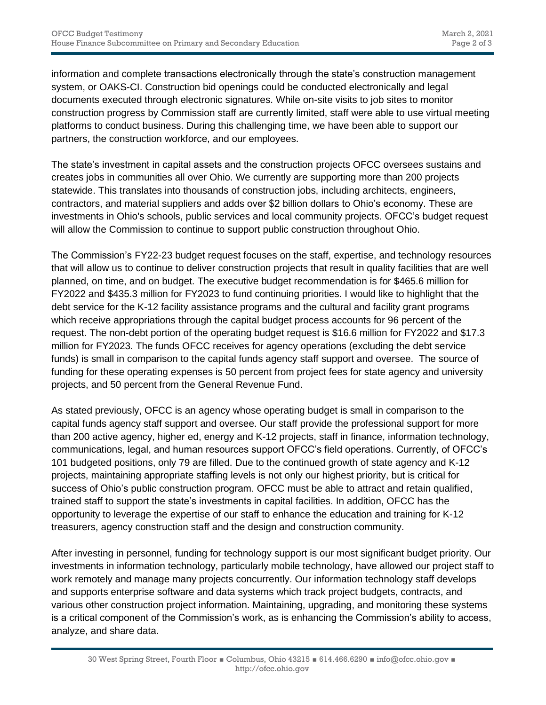information and complete transactions electronically through the state's construction management system, or OAKS-CI. Construction bid openings could be conducted electronically and legal documents executed through electronic signatures. While on-site visits to job sites to monitor construction progress by Commission staff are currently limited, staff were able to use virtual meeting platforms to conduct business. During this challenging time, we have been able to support our partners, the construction workforce, and our employees.

The state's investment in capital assets and the construction projects OFCC oversees sustains and creates jobs in communities all over Ohio. We currently are supporting more than 200 projects statewide. This translates into thousands of construction jobs, including architects, engineers, contractors, and material suppliers and adds over \$2 billion dollars to Ohio's economy. These are investments in Ohio's schools, public services and local community projects. OFCC's budget request will allow the Commission to continue to support public construction throughout Ohio.

The Commission's FY22-23 budget request focuses on the staff, expertise, and technology resources that will allow us to continue to deliver construction projects that result in quality facilities that are well planned, on time, and on budget. The executive budget recommendation is for \$465.6 million for FY2022 and \$435.3 million for FY2023 to fund continuing priorities. I would like to highlight that the debt service for the K-12 facility assistance programs and the cultural and facility grant programs which receive appropriations through the capital budget process accounts for 96 percent of the request. The non-debt portion of the operating budget request is \$16.6 million for FY2022 and \$17.3 million for FY2023. The funds OFCC receives for agency operations (excluding the debt service funds) is small in comparison to the capital funds agency staff support and oversee. The source of funding for these operating expenses is 50 percent from project fees for state agency and university projects, and 50 percent from the General Revenue Fund.

As stated previously, OFCC is an agency whose operating budget is small in comparison to the capital funds agency staff support and oversee. Our staff provide the professional support for more than 200 active agency, higher ed, energy and K-12 projects, staff in finance, information technology, communications, legal, and human resources support OFCC's field operations. Currently, of OFCC's 101 budgeted positions, only 79 are filled. Due to the continued growth of state agency and K-12 projects, maintaining appropriate staffing levels is not only our highest priority, but is critical for success of Ohio's public construction program. OFCC must be able to attract and retain qualified, trained staff to support the state's investments in capital facilities. In addition, OFCC has the opportunity to leverage the expertise of our staff to enhance the education and training for K-12 treasurers, agency construction staff and the design and construction community.

After investing in personnel, funding for technology support is our most significant budget priority. Our investments in information technology, particularly mobile technology, have allowed our project staff to work remotely and manage many projects concurrently. Our information technology staff develops and supports enterprise software and data systems which track project budgets, contracts, and various other construction project information. Maintaining, upgrading, and monitoring these systems is a critical component of the Commission's work, as is enhancing the Commission's ability to access, analyze, and share data.